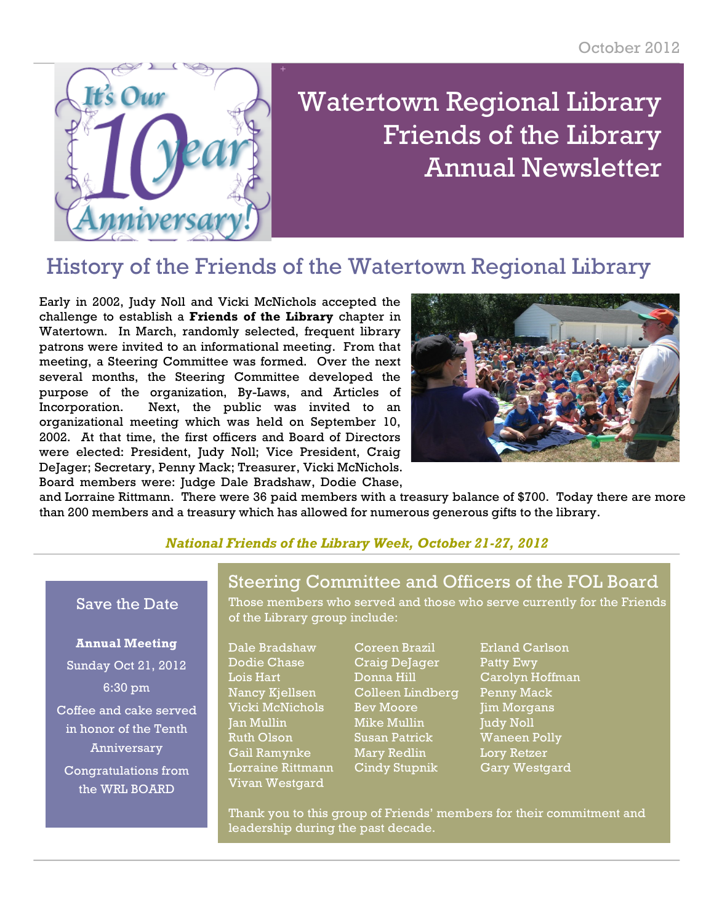

# Watertown Regional Library Friends of the Library Annual Newsletter

## History of the Friends of the Watertown Regional Library

Early in 2002, Judy Noll and Vicki McNichols accepted the challenge to establish a **Friends of the Library** chapter in Watertown. In March, randomly selected, frequent library patrons were invited to an informational meeting. From that meeting, a Steering Committee was formed. Over the next several months, the Steering Committee developed the purpose of the organization, By-Laws, and Articles of Incorporation. Next, the public was invited to an organizational meeting which was held on September 10, 2002. At that time, the first officers and Board of Directors were elected: President, Judy Noll; Vice President, Craig DeJager; Secretary, Penny Mack; Treasurer, Vicki McNichols. Board members were: Judge Dale Bradshaw, Dodie Chase,



and Lorraine Rittmann. There were 36 paid members with a treasury balance of \$700. Today there are more than 200 members and a treasury which has allowed for numerous generous gifts to the library.

#### *National Friends of the Library Week, October 21-27, 2012*

#### Save the Date

#### **Annual Meeting**

Sunday Oct 21, 2012 6:30 pm Coffee and cake served in honor of the Tenth Anniversary Congratulations from the WRL BOARD

### Steering Committee and Officers of the FOL Board

Those members who served and those who serve currently for the Friends of the Library group include:

Dale Bradshaw Coreen Brazil Erland Carlson Vivan Westgard

- Dodie Chase Craig DeJager Patty Ewy Lois Hart Donna Hill Carolyn Hoffman Nancy Kjellsen Colleen Lindberg Penny Mack Vicki McNichols Bev Moore Jim Morgans Jan Mullin Mike Mullin Judy Noll Ruth Olson Susan Patrick Waneen Polly Gail Ramynke Mary Redlin Lory Retzer Lorraine Rittmann Cindy Stupnik Gary Westgard
- 

Thank you to this group of Friends' members for their commitment and leadership during the past decade.